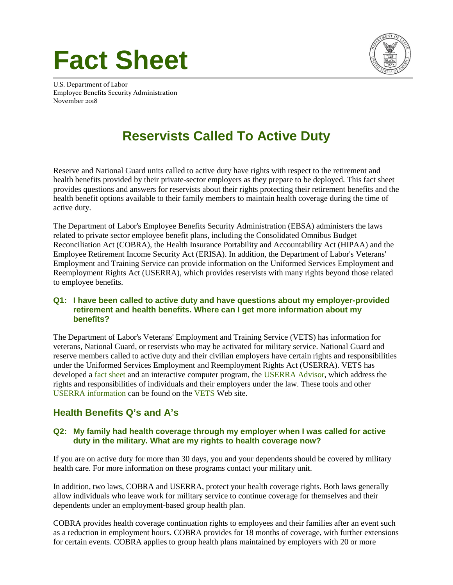# **Fact Sheet**



U.S. Department of Labor Employee Benefits Security Administration November 2018

# **Reservists Called To Active Duty**

Reserve and National Guard units called to active duty have rights with respect to the retirement and health benefits provided by their private-sector employers as they prepare to be deployed. This fact sheet provides questions and answers for reservists about their rights protecting their retirement benefits and the health benefit options available to their family members to maintain health coverage during the time of active duty.

The Department of Labor's Employee Benefits Security Administration (EBSA) administers the laws related to private sector employee benefit plans, including the Consolidated Omnibus Budget Reconciliation Act (COBRA), the Health Insurance Portability and Accountability Act (HIPAA) and the Employee Retirement Income Security Act (ERISA). In addition, the Department of Labor's Veterans' Employment and Training Service can provide information on the Uniformed Services Employment and Reemployment Rights Act (USERRA), which provides reservists with many rights beyond those related to employee benefits.

#### **Q1: I have been called to active duty and have questions about my employer-provided retirement and health benefits. Where can I get more information about my benefits?**

The Department of Labor's Veterans' Employment and Training Service (VETS) has information for veterans, National Guard, or reservists who may be activated for military service. National Guard and reserve members called to active duty and their civilian employers have certain rights and responsibilities under the Uniformed Services Employment and Reemployment Rights Act (USERRA). VETS has developed a [fact sheet](https://www.dol.gov/vets/programs/userra/userra_fs.htm) and an interactive computer program, the [USERRA Advisor,](https://webapps.dol.gov/elaws/userra.htm) which address the rights and responsibilities of individuals and their employers under the law. These tools and other [USERRA information](https://www.dol.gov/vets/programs/userra/) can be found on the [VETS](https://www.dol.gov/vets/) Web site.

## **Health Benefits Q's and A's**

#### **Q2: My family had health coverage through my employer when I was called for active duty in the military. What are my rights to health coverage now?**

If you are on active duty for more than 30 days, you and your dependents should be covered by military health care. For more information on these programs contact your military unit.

In addition, two laws, COBRA and USERRA, protect your health coverage rights. Both laws generally allow individuals who leave work for military service to continue coverage for themselves and their dependents under an employment-based group health plan.

COBRA provides health coverage continuation rights to employees and their families after an event such as a reduction in employment hours. COBRA provides for 18 months of coverage, with further extensions for certain events. COBRA applies to group health plans maintained by employers with 20 or more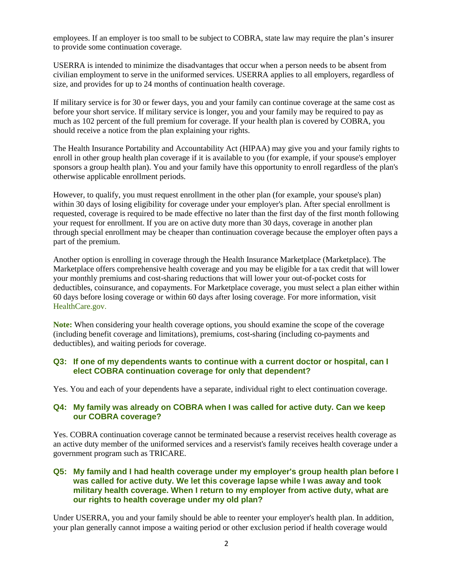employees. If an employer is too small to be subject to COBRA, state law may require the plan's insurer to provide some continuation coverage.

USERRA is intended to minimize the disadvantages that occur when a person needs to be absent from civilian employment to serve in the uniformed services. USERRA applies to all employers, regardless of size, and provides for up to 24 months of continuation health coverage.

If military service is for 30 or fewer days, you and your family can continue coverage at the same cost as before your short service. If military service is longer, you and your family may be required to pay as much as 102 percent of the full premium for coverage. If your health plan is covered by COBRA, you should receive a notice from the plan explaining your rights.

The Health Insurance Portability and Accountability Act (HIPAA) may give you and your family rights to enroll in other group health plan coverage if it is available to you (for example, if your spouse's employer sponsors a group health plan). You and your family have this opportunity to enroll regardless of the plan's otherwise applicable enrollment periods.

However, to qualify, you must request enrollment in the other plan (for example, your spouse's plan) within 30 days of losing eligibility for coverage under your employer's plan. After special enrollment is requested, coverage is required to be made effective no later than the first day of the first month following your request for enrollment. If you are on active duty more than 30 days, coverage in another plan through special enrollment may be cheaper than continuation coverage because the employer often pays a part of the premium.

Another option is enrolling in coverage through the Health Insurance Marketplace (Marketplace). The Marketplace offers comprehensive health coverage and you may be eligible for a tax credit that will lower your monthly premiums and cost-sharing reductions that will lower your out-of-pocket costs for deductibles, coinsurance, and copayments. For Marketplace coverage, you must select a plan either within 60 days before losing coverage or within 60 days after losing coverage. For more information, visit [HealthCare.gov](https://www.healthcare.gov/).

**Note:** When considering your health coverage options, you should examine the scope of the coverage (including benefit coverage and limitations), premiums, cost-sharing (including co-payments and deductibles), and waiting periods for coverage.

#### **Q3: If one of my dependents wants to continue with a current doctor or hospital, can I elect COBRA continuation coverage for only that dependent?**

Yes. You and each of your dependents have a separate, individual right to elect continuation coverage.

#### **Q4: My family was already on COBRA when I was called for active duty. Can we keep our COBRA coverage?**

Yes. COBRA continuation coverage cannot be terminated because a reservist receives health coverage as an active duty member of the uniformed services and a reservist's family receives health coverage under a government program such as TRICARE.

#### **Q5: My family and I had health coverage under my employer's group health plan before I was called for active duty. We let this coverage lapse while I was away and took military health coverage. When I return to my employer from active duty, what are our rights to health coverage under my old plan?**

Under USERRA, you and your family should be able to reenter your employer's health plan. In addition, your plan generally cannot impose a waiting period or other exclusion period if health coverage would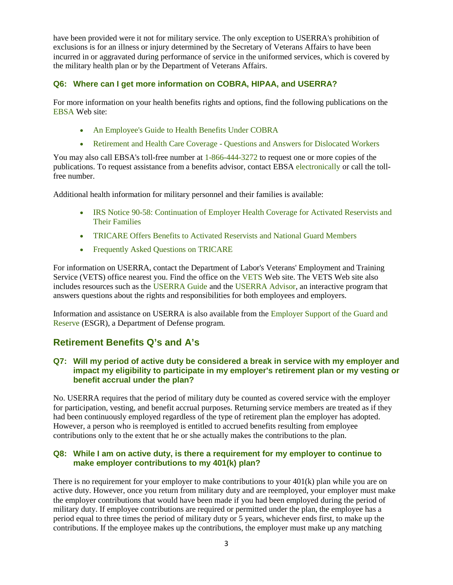have been provided were it not for military service. The only exception to USERRA's prohibition of exclusions is for an illness or injury determined by the Secretary of Veterans Affairs to have been incurred in or aggravated during performance of service in the uniformed services, which is covered by the military health plan or by the Department of Veterans Affairs.

#### **Q6: Where can I get more information on COBRA, HIPAA, and USERRA?**

For more information on your health benefits rights and options, find the following publications on the [EBSA](https://www.dol.gov/agencies/ebsa) Web site:

- [An Employee's Guide to Health Benefits Under COBRA](https://www.dol.gov/sites/default/files/ebsa/about-ebsa/our-activities/resource-center/publications/an-employees-guide-to-health-benefits-under-cobra.pdf)
- [Retirement and Health Care Coverage Questions and Answers for Dislocated Workers](https://www.dol.gov/sites/default/files/ebsa/about-ebsa/our-activities/resource-center/publications/questions-and-answers-for-dislocated-workers.pdf)

You may also call EBSA's toll-free number at 1-866-444-3272 to request one or more copies of the publications. To request assistance from a benefits advisor, contact EBSA [electronically](https://www.dol.gov/agencies/ebsa/about-ebsa/ask-a-question/ask-ebsa) or call the tollfree number.

Additional health information for military personnel and their families is available:

- IRS Notice 90-58: Continuation of Employer Health Coverage for Activated Reservists and [Their Families](https://www.dol.gov/sites/default/files/ebsa/about-ebsa/our-activities/resource-center/publications/irs90-58.pdf)
- [TRICARE Offers Benefits to Activated Reservists and National Guard Members](https://tricare.mil/reserve)
- [Frequently Asked Questions on TRICARE](https://tricare.mil/faqs)

For information on USERRA, contact the Department of Labor's Veterans' Employment and Training Service (VETS) office nearest you. Find the office on the [VETS](https://www.dol.gov/vets/) Web site. The VETS Web site also includes resources such as the [USERRA Guide](https://www.dol.gov/vets/programs/userra/USERRA%20Pocket%20Guide.html) and the [USERRA Advisor,](https://webapps.dol.gov/elaws/userra.htm) an interactive program that answers questions about the rights and responsibilities for both employees and employers.

Information and assistance on USERRA is also available from the [Employer Support of the Guard and](https://www.esgr.mil/USERRA/What-is-USERRA)  [Reserve](https://www.esgr.mil/USERRA/What-is-USERRA) (ESGR), a Department of Defense program.

## **Retirement Benefits Q's and A's**

#### **Q7: Will my period of active duty be considered a break in service with my employer and impact my eligibility to participate in my employer's retirement plan or my vesting or benefit accrual under the plan?**

No. USERRA requires that the period of military duty be counted as covered service with the employer for participation, vesting, and benefit accrual purposes. Returning service members are treated as if they had been continuously employed regardless of the type of retirement plan the employer has adopted. However, a person who is reemployed is entitled to accrued benefits resulting from employee contributions only to the extent that he or she actually makes the contributions to the plan.

#### **Q8: While I am on active duty, is there a requirement for my employer to continue to make employer contributions to my 401(k) plan?**

There is no requirement for your employer to make contributions to your 401(k) plan while you are on active duty. However, once you return from military duty and are reemployed, your employer must make the employer contributions that would have been made if you had been employed during the period of military duty. If employee contributions are required or permitted under the plan, the employee has a period equal to three times the period of military duty or 5 years, whichever ends first, to make up the contributions. If the employee makes up the contributions, the employer must make up any matching